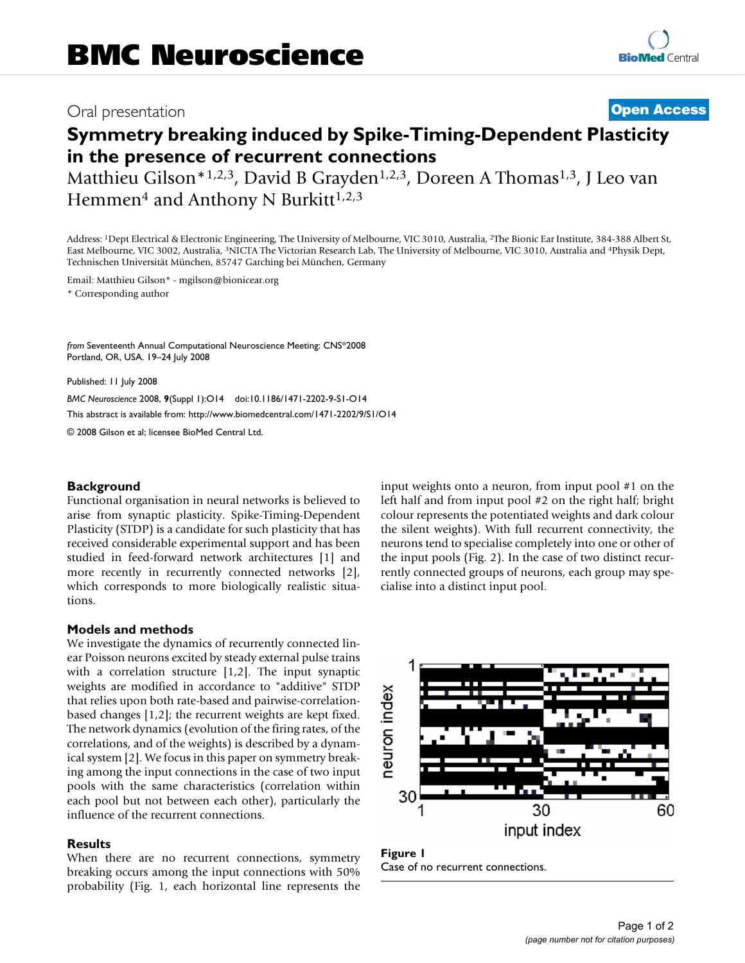## Oral presentation **[Open Access](http://www.biomedcentral.com/info/about/charter/)**

# **Symmetry breaking induced by Spike-Timing-Dependent Plasticity in the presence of recurrent connections**

Matthieu Gilson\*1,2,3, David B Grayden<sup>1,2,3</sup>, Doreen A Thomas<sup>1,3</sup>, J Leo van Hemmen<sup>4</sup> and Anthony N Burkitt<sup>1,2,3</sup>

Address: 1Dept Electrical & Electronic Engineering, The University of Melbourne, VIC 3010, Australia, 2The Bionic Ear Institute, 384-388 Albert St, East Melbourne, VIC 3002, Australia, 3NICTA The Victorian Research Lab, The University of Melbourne, VIC 3010, Australia and 4Physik Dept, Technischen Universität München, 85747 Garching bei München, Germany

Email: Matthieu Gilson\* - mgilson@bionicear.org

\* Corresponding author

*from* Seventeenth Annual Computational Neuroscience Meeting: CNS\*2008 Portland, OR, USA. 19–24 July 2008

Published: 11 July 2008

*BMC Neuroscience* 2008, **9**(Suppl 1):O14 doi:10.1186/1471-2202-9-S1-O14 [This abstract is available from: http://www.biomedcentral.com/1471-2202/9/S1/O14](http://www.biomedcentral.com/1471-2202/9/S1/O14) © 2008 Gilson et al; licensee BioMed Central Ltd.

**Background**

Functional organisation in neural networks is believed to arise from synaptic plasticity. Spike-Timing-Dependent Plasticity (STDP) is a candidate for such plasticity that has received considerable experimental support and has been studied in feed-forward network architectures [1] and more recently in recurrently connected networks [2], which corresponds to more biologically realistic situations.

#### **Models and methods**

We investigate the dynamics of recurrently connected linear Poisson neurons excited by steady external pulse trains with a correlation structure [1,2]. The input synaptic weights are modified in accordance to "additive" STDP that relies upon both rate-based and pairwise-correlationbased changes [1,2]; the recurrent weights are kept fixed. The network dynamics (evolution of the firing rates, of the correlations, and of the weights) is described by a dynamical system [2]. We focus in this paper on symmetry breaking among the input connections in the case of two input pools with the same characteristics (correlation within each pool but not between each other), particularly the influence of the recurrent connections.

#### **Results**

When there are no recurrent connections, symmetry breaking occurs among the input connections with 50% probability (Fig. 1, each horizontal line represents the input weights onto a neuron, from input pool #1 on the left half and from input pool #2 on the right half; bright colour represents the potentiated weights and dark colour the silent weights). With full recurrent connectivity, the neurons tend to specialise completely into one or other of the input pools (Fig. 2). In the case of two distinct recurrently connected groups of neurons, each group may specialise into a distinct input pool.



Figure 1 Case of no recurrent connections.